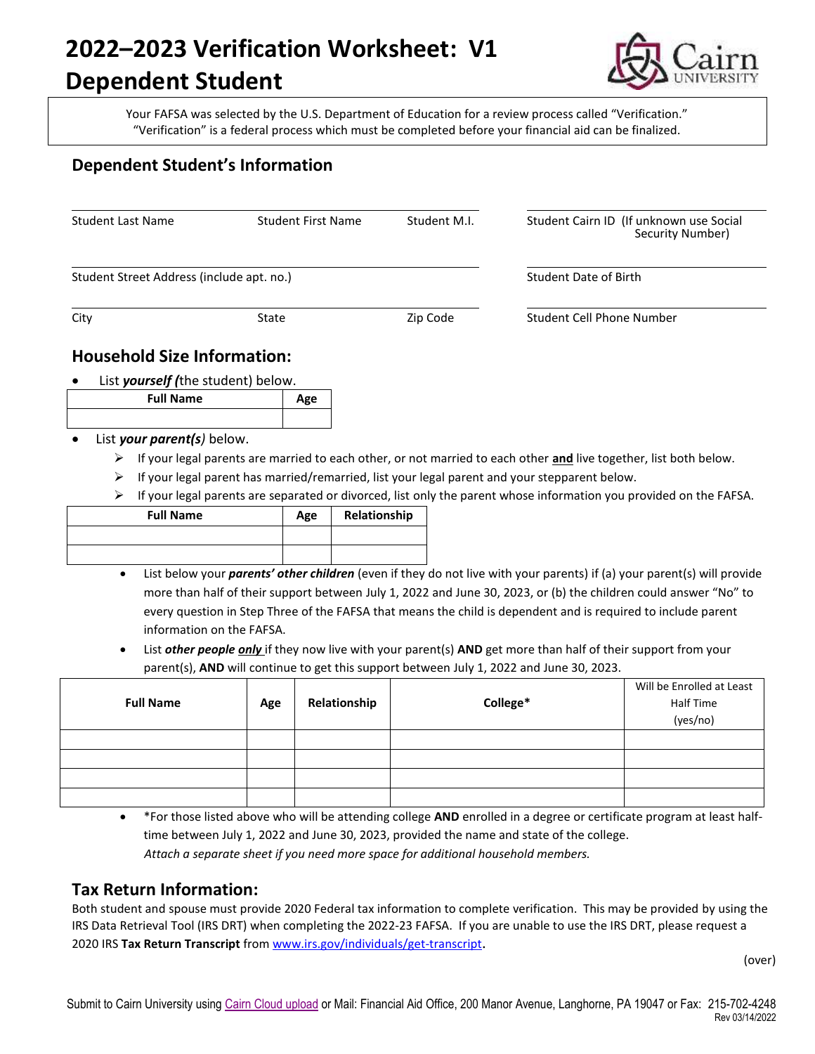# **2022–2023 Verification Worksheet: V1**

## **Dependent Student**



Your FAFSA was selected by the U.S. Department of Education for a review process called "Verification." "Verification" is a federal process which must be completed before your financial aid can be finalized.

### **Dependent Student's Information**

| <b>Student Last Name</b>                        | <b>Student First Name</b> | Student M.I. | Student Cairn ID (If unknown use Social<br>Security Number) |  |
|-------------------------------------------------|---------------------------|--------------|-------------------------------------------------------------|--|
| Student Street Address (include apt. no.)       |                           |              | Student Date of Birth                                       |  |
| City<br>State                                   |                           | Zip Code     | Student Cell Phone Number                                   |  |
| <b>Household Size Information:</b>              |                           |              |                                                             |  |
| List yourself (the student) below.<br>$\bullet$ |                           |              |                                                             |  |
| <b>Full Name</b>                                | Age                       |              |                                                             |  |

#### List *your parent(s)* below.

- If your legal parents are married to each other, or not married to each other **and** live together, list both below.
- $\triangleright$  If your legal parent has married/remarried, list your legal parent and your stepparent below.
- $\triangleright$  If your legal parents are separated or divorced, list only the parent whose information you provided on the FAFSA.

| <b>Full Name</b> | Age | Relationship |
|------------------|-----|--------------|
|                  |     |              |
|                  |     |              |

- List below your *parents' other children* (even if they do not live with your parents) if (a) your parent(s) will provide more than half of their support between July 1, 2022 and June 30, 2023, or (b) the children could answer "No" to every question in Step Three of the FAFSA that means the child is dependent and is required to include parent information on the FAFSA.
- List *other people only* if they now live with your parent(s) **AND** get more than half of their support from your parent(s), **AND** will continue to get this support between July 1, 2022 and June 30, 2023.

| <b>Full Name</b> | Age | Relationship | College* | Will be Enrolled at Least<br>Half Time<br>(yes/no) |
|------------------|-----|--------------|----------|----------------------------------------------------|
|                  |     |              |          |                                                    |
|                  |     |              |          |                                                    |
|                  |     |              |          |                                                    |
|                  |     |              |          |                                                    |

 \*For those listed above who will be attending college **AND** enrolled in a degree or certificate program at least halftime between July 1, 2022 and June 30, 2023, provided the name and state of the college.  *Attach a separate sheet if you need more space for additional household members.*

#### **Tax Return Information:**

Both student and spouse must provide 2020 Federal tax information to complete verification. This may be provided by using the IRS Data Retrieval Tool (IRS DRT) when completing the 2022-23 FAFSA. If you are unable to use the IRS DRT, please request a 2020 IRS **Tax Return Transcript** from [www.irs.gov/individuals/get-transcript](http://www.irs.gov/individuals/get-transcript).

(over)